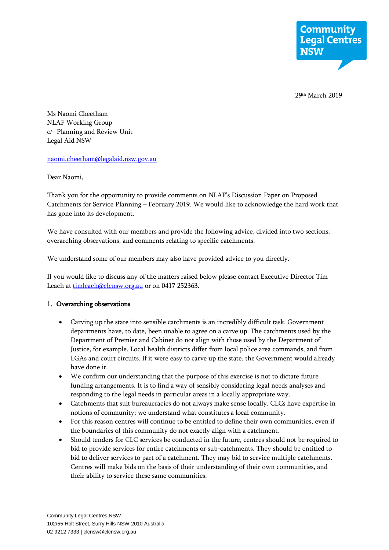

29<sup>th</sup> March 2019

Ms Naomi Cheetham NLAF Working Group c/- Planning and Review Unit Legal Aid NSW

[naomi.cheetham@legalaid.nsw.gov.au](mailto:naomi.cheetham@legalaid.nsw.gov.au)

Dear Naomi,

Thank you for the opportunity to provide comments on NLAF's Discussion Paper on Proposed Catchments for Service Planning – February 2019. We would like to acknowledge the hard work that has gone into its development.

We have consulted with our members and provide the following advice, divided into two sections: overarching observations, and comments relating to specific catchments.

We understand some of our members may also have provided advice to you directly.

If you would like to discuss any of the matters raised below please contact Executive Director Tim Leach at [timleach@clcnsw.org.au](mailto:timleach@clcnsw.org.au) or on 0417 252363.

### 1. Overarching observations

- Carving up the state into sensible catchments is an incredibly difficult task. Government departments have, to date, been unable to agree on a carve up. The catchments used by the Department of Premier and Cabinet do not align with those used by the Department of Justice, for example. Local health districts differ from local police area commands, and from LGAs and court circuits. If it were easy to carve up the state, the Government would already have done it.
- We confirm our understanding that the purpose of this exercise is not to dictate future funding arrangements. It is to find a way of sensibly considering legal needs analyses and responding to the legal needs in particular areas in a locally appropriate way.
- Catchments that suit bureaucracies do not always make sense locally. CLCs have expertise in notions of community; we understand what constitutes a local community.
- For this reason centres will continue to be entitled to define their own communities, even if the boundaries of this community do not exactly align with a catchment.
- Should tenders for CLC services be conducted in the future, centres should not be required to bid to provide services for entire catchments or sub-catchments. They should be entitled to bid to deliver services to part of a catchment. They may bid to service multiple catchments. Centres will make bids on the basis of their understanding of their own communities, and their ability to service these same communities.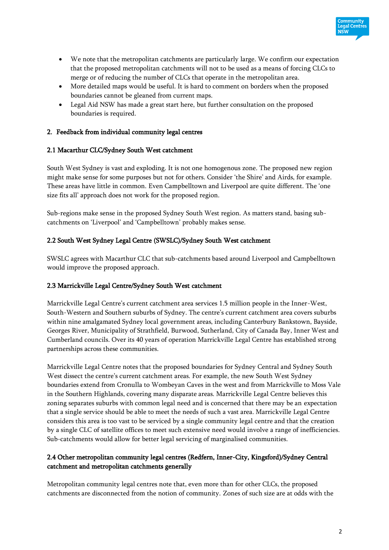- We note that the metropolitan catchments are particularly large. We confirm our expectation that the proposed metropolitan catchments will not to be used as a means of forcing CLCs to merge or of reducing the number of CLCs that operate in the metropolitan area.
- More detailed maps would be useful. It is hard to comment on borders when the proposed boundaries cannot be gleaned from current maps.
- Legal Aid NSW has made a great start here, but further consultation on the proposed boundaries is required.

# 2. Feedback from individual community legal centres

## 2.1 Macarthur CLC/Sydney South West catchment

South West Sydney is vast and exploding. It is not one homogenous zone. The proposed new region might make sense for some purposes but not for others. Consider 'the Shire' and Airds, for example. These areas have little in common. Even Campbelltown and Liverpool are quite different. The 'one size fits all' approach does not work for the proposed region.

Sub-regions make sense in the proposed Sydney South West region. As matters stand, basing subcatchments on 'Liverpool' and 'Campbelltown' probably makes sense.

## 2.2 South West Sydney Legal Centre (SWSLC)/Sydney South West catchment

SWSLC agrees with Macarthur CLC that sub-catchments based around Liverpool and Campbelltown would improve the proposed approach.

### 2.3 Marrickville Legal Centre/Sydney South West catchment

Marrickville Legal Centre's current catchment area services 1.5 million people in the Inner-West, South-Western and Southern suburbs of Sydney. The centre's current catchment area covers suburbs within nine amalgamated Sydney local government areas, including Canterbury Bankstown, Bayside, Georges River, Municipality of Strathfield, Burwood, Sutherland, City of Canada Bay, Inner West and Cumberland councils. Over its 40 years of operation Marrickville Legal Centre has established strong partnerships across these communities.

Marrickville Legal Centre notes that the proposed boundaries for Sydney Central and Sydney South West dissect the centre's current catchment areas. For example, the new South West Sydney boundaries extend from Cronulla to Wombeyan Caves in the west and from Marrickville to Moss Vale in the Southern Highlands, covering many disparate areas. Marrickville Legal Centre believes this zoning separates suburbs with common legal need and is concerned that there may be an expectation that a single service should be able to meet the needs of such a vast area. Marrickville Legal Centre considers this area is too vast to be serviced by a single community legal centre and that the creation by a single CLC of satellite offices to meet such extensive need would involve a range of inefficiencies. Sub-catchments would allow for better legal servicing of marginalised communities.

# 2.4 Other metropolitan community legal centres (Redfern, Inner-City, Kingsford)/Sydney Central catchment and metropolitan catchments generally

Metropolitan community legal centres note that, even more than for other CLCs, the proposed catchments are disconnected from the notion of community. Zones of such size are at odds with the

Legal Centres  $NSW$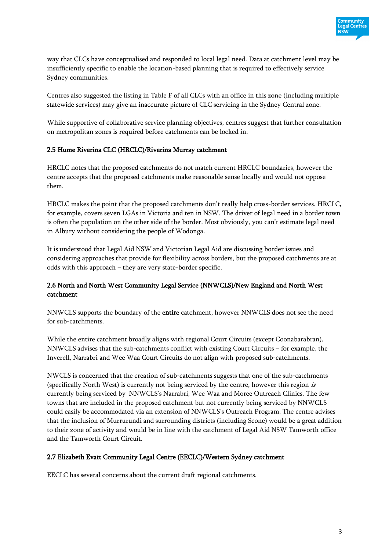

way that CLCs have conceptualised and responded to local legal need. Data at catchment level may be insufficiently specific to enable the location-based planning that is required to effectively service Sydney communities.

Centres also suggested the listing in Table F of all CLCs with an office in this zone (including multiple statewide services) may give an inaccurate picture of CLC servicing in the Sydney Central zone.

While supportive of collaborative service planning objectives, centres suggest that further consultation on metropolitan zones is required before catchments can be locked in.

# 2.5 Hume Riverina CLC (HRCLC)/Riverina Murray catchment

HRCLC notes that the proposed catchments do not match current HRCLC boundaries, however the centre accepts that the proposed catchments make reasonable sense locally and would not oppose them.

HRCLC makes the point that the proposed catchments don't really help cross-border services. HRCLC, for example, covers seven LGAs in Victoria and ten in NSW. The driver of legal need in a border town is often the population on the other side of the border. Most obviously, you can't estimate legal need in Albury without considering the people of Wodonga.

It is understood that Legal Aid NSW and Victorian Legal Aid are discussing border issues and considering approaches that provide for flexibility across borders, but the proposed catchments are at odds with this approach – they are very state-border specific.

# 2.6 North and North West Community Legal Service (NNWCLS)/New England and North West catchment

NNWCLS supports the boundary of the entire catchment, however NNWCLS does not see the need for sub-catchments.

While the entire catchment broadly aligns with regional Court Circuits (except Coonabarabran), NNWCLS advises that the sub-catchments conflict with existing Court Circuits – for example, the Inverell, Narrabri and Wee Waa Court Circuits do not align with proposed sub-catchments.

NWCLS is concerned that the creation of sub-catchments suggests that one of the sub-catchments (specifically North West) is currently not being serviced by the centre, however this region is currently being serviced by NNWCLS's Narrabri, Wee Waa and Moree Outreach Clinics. The few towns that are included in the proposed catchment but not currently being serviced by NNWCLS could easily be accommodated via an extension of NNWCLS's Outreach Program. The centre advises that the inclusion of Murrurundi and surrounding districts (including Scone) would be a great addition to their zone of activity and would be in line with the catchment of Legal Aid NSW Tamworth office and the Tamworth Court Circuit.

# 2.7 Elizabeth Evatt Community Legal Centre (EECLC)/Western Sydney catchment

EECLC has several concerns about the current draft regional catchments.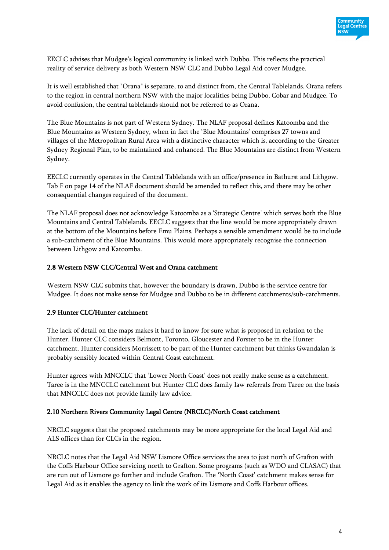

EECLC advises that Mudgee's logical community is linked with Dubbo. This reflects the practical reality of service delivery as both Western NSW CLC and Dubbo Legal Aid cover Mudgee.

It is well established that "Orana" is separate, to and distinct from, the Central Tablelands. Orana refers to the region in central northern NSW with the major localities being Dubbo, Cobar and Mudgee. To avoid confusion, the central tablelands should not be referred to as Orana.

The Blue Mountains is not part of Western Sydney. The NLAF proposal defines Katoomba and the Blue Mountains as Western Sydney, when in fact the 'Blue Mountains' comprises 27 towns and villages of the Metropolitan Rural Area with a distinctive character which is, according to the Greater Sydney Regional Plan, to be maintained and enhanced. The Blue Mountains are distinct from Western Sydney.

EECLC currently operates in the Central Tablelands with an office/presence in Bathurst and Lithgow. Tab F on page 14 of the NLAF document should be amended to reflect this, and there may be other consequential changes required of the document.

The NLAF proposal does not acknowledge Katoomba as a 'Strategic Centre' which serves both the Blue Mountains and Central Tablelands. EECLC suggests that the line would be more appropriately drawn at the bottom of the Mountains before Emu Plains. Perhaps a sensible amendment would be to include a sub-catchment of the Blue Mountains. This would more appropriately recognise the connection between Lithgow and Katoomba.

## 2.8 Western NSW CLC/Central West and Orana catchment

Western NSW CLC submits that, however the boundary is drawn, Dubbo is the service centre for Mudgee. It does not make sense for Mudgee and Dubbo to be in different catchments/sub-catchments.

# 2.9 Hunter CLC/Hunter catchment

The lack of detail on the maps makes it hard to know for sure what is proposed in relation to the Hunter. Hunter CLC considers Belmont, Toronto, Gloucester and Forster to be in the Hunter catchment. Hunter considers Morrissett to be part of the Hunter catchment but thinks Gwandalan is probably sensibly located within Central Coast catchment.

Hunter agrees with MNCCLC that 'Lower North Coast' does not really make sense as a catchment. Taree is in the MNCCLC catchment but Hunter CLC does family law referrals from Taree on the basis that MNCCLC does not provide family law advice.

### 2.10 Northern Rivers Community Legal Centre (NRCLC)/North Coast catchment

NRCLC suggests that the proposed catchments may be more appropriate for the local Legal Aid and ALS offices than for CLCs in the region.

NRCLC notes that the Legal Aid NSW Lismore Office services the area to just north of Grafton with the Coffs Harbour Office servicing north to Grafton. Some programs (such as WDO and CLASAC) that are run out of Lismore go further and include Grafton. The 'North Coast' catchment makes sense for Legal Aid as it enables the agency to link the work of its Lismore and Coffs Harbour offices.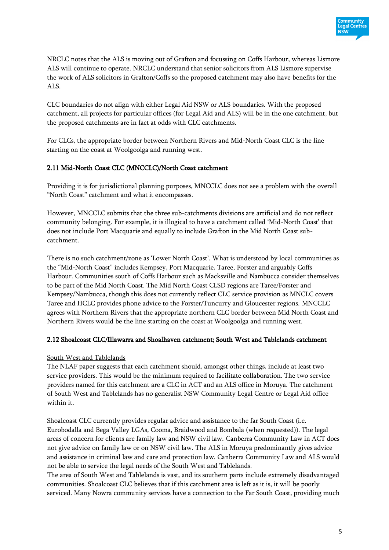

NRCLC notes that the ALS is moving out of Grafton and focussing on Coffs Harbour, whereas Lismore ALS will continue to operate. NRCLC understand that senior solicitors from ALS Lismore supervise the work of ALS solicitors in Grafton/Coffs so the proposed catchment may also have benefits for the ALS.

CLC boundaries do not align with either Legal Aid NSW or ALS boundaries. With the proposed catchment, all projects for particular offices (for Legal Aid and ALS) will be in the one catchment, but the proposed catchments are in fact at odds with CLC catchments.

For CLCs, the appropriate border between Northern Rivers and Mid-North Coast CLC is the line starting on the coast at Woolgoolga and running west.

# 2.11 Mid-North Coast CLC (MNCCLC)/North Coast catchment

Providing it is for jurisdictional planning purposes, MNCCLC does not see a problem with the overall "North Coast" catchment and what it encompasses.

However, MNCCLC submits that the three sub-catchments divisions are artificial and do not reflect community belonging. For example, it is illogical to have a catchment called 'Mid-North Coast' that does not include Port Macquarie and equally to include Grafton in the Mid North Coast subcatchment.

There is no such catchment/zone as 'Lower North Coast'. What is understood by local communities as the "Mid-North Coast" includes Kempsey, Port Macquarie, Taree, Forster and arguably Coffs Harbour. Communities south of Coffs Harbour such as Macksville and Nambucca consider themselves to be part of the Mid North Coast. The Mid North Coast CLSD regions are Taree/Forster and Kempsey/Nambucca, though this does not currently reflect CLC service provision as MNCLC covers Taree and HCLC provides phone advice to the Forster/Tuncurry and Gloucester regions. MNCCLC agrees with Northern Rivers that the appropriate northern CLC border between Mid North Coast and Northern Rivers would be the line starting on the coast at Woolgoolga and running west.

# 2.12 Shoalcoast CLC/Illawarra and Shoalhaven catchment; South West and Tablelands catchment

### South West and Tablelands

The NLAF paper suggests that each catchment should, amongst other things, include at least two service providers. This would be the minimum required to facilitate collaboration. The two service providers named for this catchment are a CLC in ACT and an ALS office in Moruya. The catchment of South West and Tablelands has no generalist NSW Community Legal Centre or Legal Aid office within it.

Shoalcoast CLC currently provides regular advice and assistance to the far South Coast (i.e. Eurobodalla and Bega Valley LGAs, Cooma, Braidwood and Bombala (when requested)). The legal areas of concern for clients are family law and NSW civil law. Canberra Community Law in ACT does not give advice on family law or on NSW civil law. The ALS in Moruya predominantly gives advice and assistance in criminal law and care and protection law. Canberra Community Law and ALS would not be able to service the legal needs of the South West and Tablelands.

The area of South West and Tablelands is vast, and its southern parts include extremely disadvantaged communities. Shoalcoast CLC believes that if this catchment area is left as it is, it will be poorly serviced. Many Nowra community services have a connection to the Far South Coast, providing much